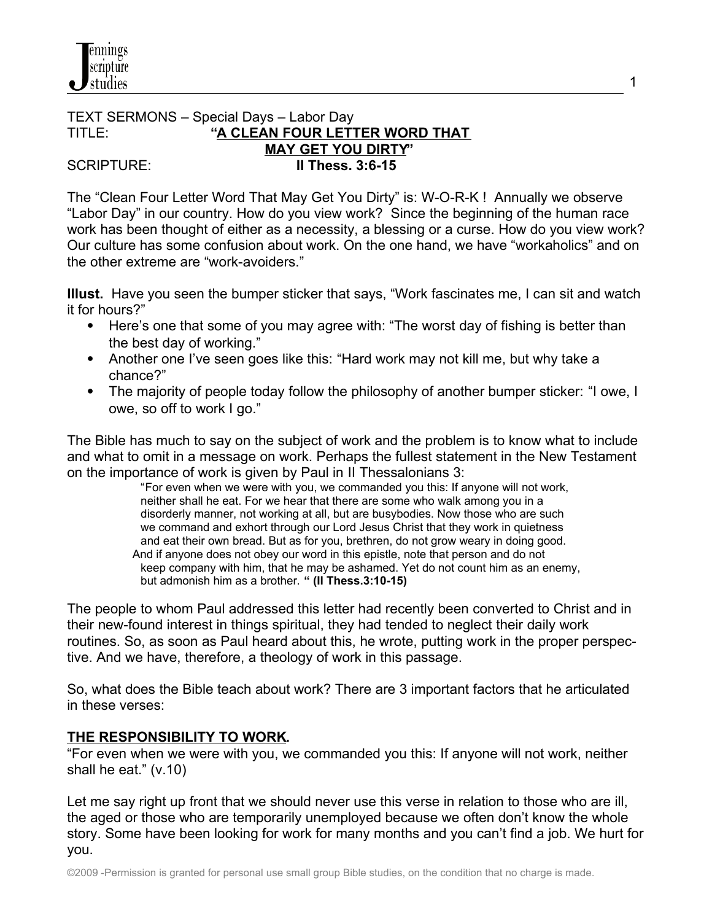#### TEXT SERMONS – Special Days – Labor Day TITLE: **"A CLEAN FOUR LETTER WORD THAT MAY GET YOU DIRTY"** SCRIPTURE: **II Thess. 3:6-15**

The "Clean Four Letter Word That May Get You Dirty" is: W-O-R-K ! Annually we observe "Labor Day" in our country. How do you view work? Since the beginning of the human race work has been thought of either as a necessity, a blessing or a curse. How do you view work? Our culture has some confusion about work. On the one hand, we have "workaholics" and on the other extreme are "work-avoiders."

1

**Illust.** Have you seen the bumper sticker that says, "Work fascinates me, I can sit and watch it for hours?"

- Here's one that some of you may agree with: "The worst day of fishing is better than the best day of working."
- Another one I've seen goes like this: "Hard work may not kill me, but why take a chance?"
- The majority of people today follow the philosophy of another bumper sticker: "I owe, I owe, so off to work I go."

The Bible has much to say on the subject of work and the problem is to know what to include and what to omit in a message on work. Perhaps the fullest statement in the New Testament on the importance of work is given by Paul in II Thessalonians 3:

 "For even when we were with you, we commanded you this: If anyone will not work, neither shall he eat. For we hear that there are some who walk among you in a disorderly manner, not working at all, but are busybodies. Now those who are such we command and exhort through our Lord Jesus Christ that they work in quietness and eat their own bread. But as for you, brethren, do not grow weary in doing good. And if anyone does not obey our word in this epistle, note that person and do not keep company with him, that he may be ashamed. Yet do not count him as an enemy, but admonish him as a brother. **" (II Thess.3:10-15)**

The people to whom Paul addressed this letter had recently been converted to Christ and in their new-found interest in things spiritual, they had tended to neglect their daily work routines. So, as soon as Paul heard about this, he wrote, putting work in the proper perspective. And we have, therefore, a theology of work in this passage.

So, what does the Bible teach about work? There are 3 important factors that he articulated in these verses:

## **THE RESPONSIBILITY TO WORK.**

"For even when we were with you, we commanded you this: If anyone will not work, neither shall he eat." (v.10)

Let me say right up front that we should never use this verse in relation to those who are ill, the aged or those who are temporarily unemployed because we often don't know the whole story. Some have been looking for work for many months and you can't find a job. We hurt for you.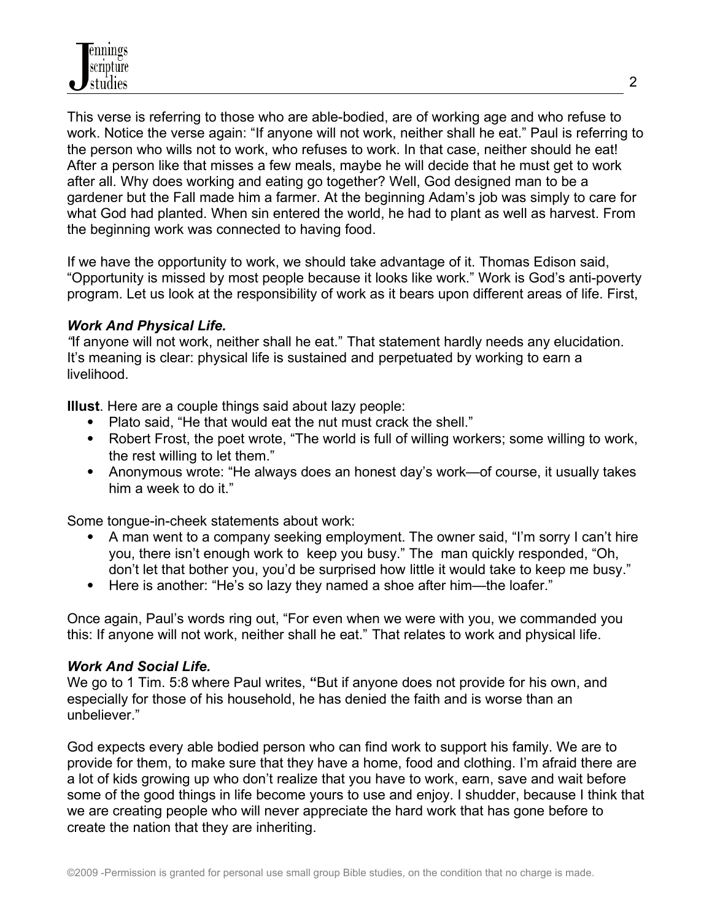This verse is referring to those who are able-bodied, are of working age and who refuse to work. Notice the verse again: "If anyone will not work, neither shall he eat." Paul is referring to the person who wills not to work, who refuses to work. In that case, neither should he eat! After a person like that misses a few meals, maybe he will decide that he must get to work after all. Why does working and eating go together? Well, God designed man to be a gardener but the Fall made him a farmer. At the beginning Adam's job was simply to care for what God had planted. When sin entered the world, he had to plant as well as harvest. From the beginning work was connected to having food.

If we have the opportunity to work, we should take advantage of it. Thomas Edison said, "Opportunity is missed by most people because it looks like work." Work is God's anti-poverty program. Let us look at the responsibility of work as it bears upon different areas of life. First,

### *Work And Physical Life.*

*"*If anyone will not work, neither shall he eat." That statement hardly needs any elucidation. It's meaning is clear: physical life is sustained and perpetuated by working to earn a livelihood.

**Illust**. Here are a couple things said about lazy people:

- Plato said, "He that would eat the nut must crack the shell."
- Robert Frost, the poet wrote, "The world is full of willing workers; some willing to work, the rest willing to let them."
- Anonymous wrote: "He always does an honest day's work—of course, it usually takes him a week to do it."

Some tongue-in-cheek statements about work:

- A man went to a company seeking employment. The owner said, "I'm sorry I can't hire you, there isn't enough work tokeep you busy." The man quickly responded, "Oh, don't let that bother you, you'd be surprised how little it would take to keep me busy."
- Here is another: "He's so lazy they named a shoe after him—the loafer."

Once again, Paul's words ring out, "For even when we were with you, we commanded you this: If anyone will not work, neither shall he eat." That relates to work and physical life.

### *Work And Social Life.*

We go to 1 Tim. 5:8 where Paul writes, **"**But if anyone does not provide for his own, and especially for those of his household, he has denied the faith and is worse than an unbeliever."

God expects every able bodied person who can find work to support his family. We are to provide for them, to make sure that they have a home, food and clothing. I'm afraid there are a lot of kids growing up who don't realize that you have to work, earn, save and wait before some of the good things in life become yours to use and enjoy. I shudder, because I think that we are creating people who will never appreciate the hard work that has gone before to create the nation that they are inheriting.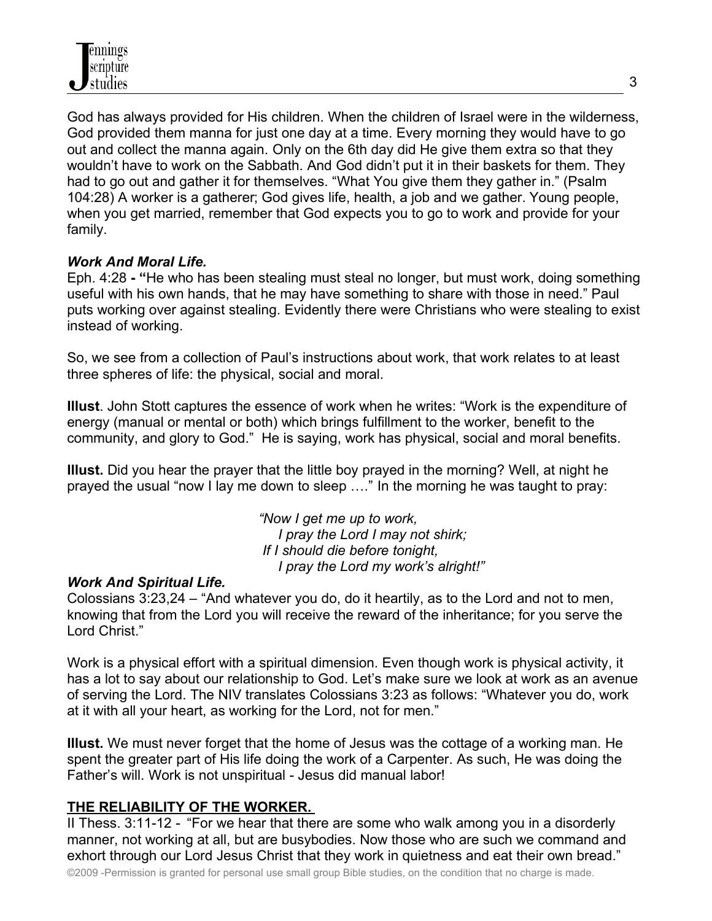God has always provided for His children. When the children of Israel were in the wilderness, God provided them manna for just one day at a time. Every morning they would have to go out and collect the manna again. Only on the 6th day did He give them extra so that they wouldn't have to work on the Sabbath. And God didn't put it in their baskets for them. They had to go out and gather it for themselves. "What You give them they gather in." (Psalm 104:28) A worker is a gatherer; God gives life, health, a job and we gather. Young people, when you get married, remember that God expects you to go to work and provide for your family.

## *Work And Moral Life.*

Eph. 4:28 **- "**He who has been stealing must steal no longer, but must work, doing something useful with his own hands, that he may have something to share with those in need." Paul puts working over against stealing. Evidently there were Christians who were stealing to exist instead of working.

So, we see from a collection of Paul's instructions about work, that work relates to at least three spheres of life: the physical, social and moral.

**Illust**. John Stott captures the essence of work when he writes: "Work is the expenditure of energy (manual or mental or both) which brings fulfillment to the worker, benefit to the community, and glory to God." He is saying, work has physical, social and moral benefits.

**Illust.** Did you hear the prayer that the little boy prayed in the morning? Well, at night he prayed the usual "now I lay me down to sleep …." In the morning he was taught to pray:

> *"Now I get me up to work, I pray the Lord I may not shirk; If I should die before tonight, I pray the Lord my work's alright!"*

### *Work And Spiritual Life.*

Colossians 3:23,24 – "And whatever you do, do it heartily, as to the Lord and not to men, knowing that from the Lord you will receive the reward of the inheritance; for you serve the Lord Christ."

Work is a physical effort with a spiritual dimension. Even though work is physical activity, it has a lot to say about our relationship to God. Let's make sure we look at work as an avenue of serving the Lord. The NIV translates Colossians 3:23 as follows: "Whatever you do, work at it with all your heart, as working for the Lord, not for men."

**Illust.** We must never forget that the home of Jesus was the cottage of a working man. He spent the greater part of His life doing the work of a Carpenter. As such, He was doing the Father's will. Work is not unspiritual - Jesus did manual labor!

### **THE RELIABILITY OF THE WORKER.**

II Thess. 3:11-12 - "For we hear that there are some who walk among you in a disorderly manner, not working at all, but are busybodies. Now those who are such we command and exhort through our Lord Jesus Christ that they work in quietness and eat their own bread."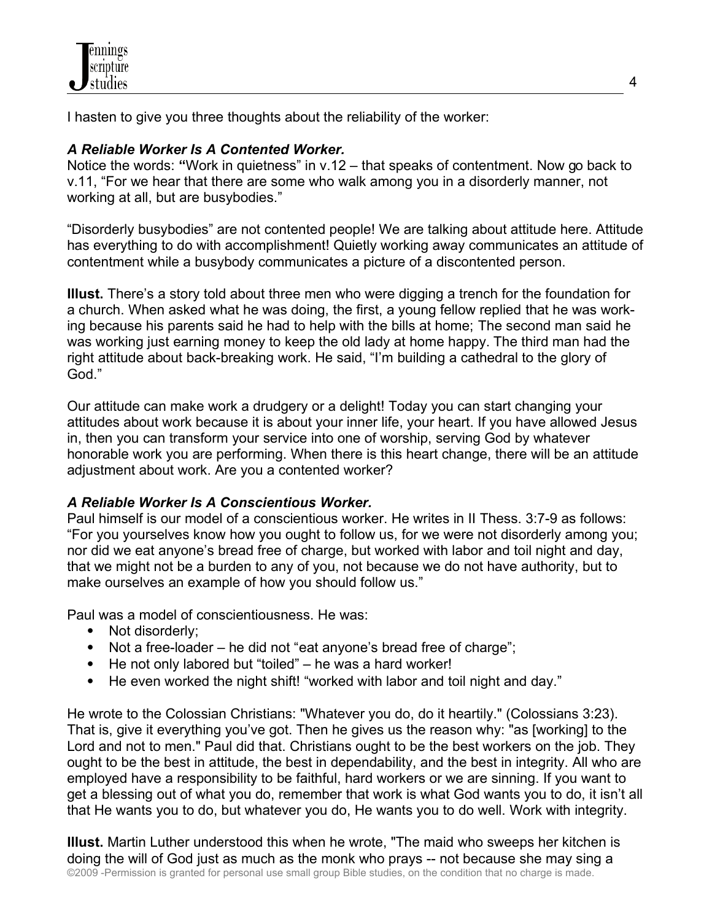I hasten to give you three thoughts about the reliability of the worker:

## *A Reliable Worker Is A Contented Worker.*

Notice the words: "Work in quietness" in v.12 – that speaks of contentment. Now go back to v.11, "For we hear that there are some who walk among you in a disorderly manner, not working at all, but are busybodies."

"Disorderly busybodies" are not contented people! We are talking about attitude here. Attitude has everything to do with accomplishment! Quietly working away communicates an attitude of contentment while a busybody communicates a picture of a discontented person.

**Illust.** There's a story told about three men who were digging a trench for the foundation for a church. When asked what he was doing, the first, a young fellow replied that he was working because his parents said he had to help with the bills at home; The second man said he was working just earning money to keep the old lady at home happy. The third man had the right attitude about back-breaking work. He said, "I'm building a cathedral to the glory of God."

Our attitude can make work a drudgery or a delight! Today you can start changing your attitudes about work because it is about your inner life, your heart. If you have allowed Jesus in, then you can transform your service into one of worship, serving God by whatever honorable work you are performing. When there is this heart change, there will be an attitude adjustment about work. Are you a contented worker?

## *A Reliable Worker Is A Conscientious Worker.*

Paul himself is our model of a conscientious worker. He writes in II Thess. 3:7-9 as follows: "For you yourselves know how you ought to follow us, for we were not disorderly among you; nor did we eat anyone's bread free of charge, but worked with labor and toil night and day, that we might not be a burden to any of you, not because we do not have authority, but to make ourselves an example of how you should follow us."

Paul was a model of conscientiousness. He was:

- Not disorderly:
- Not a free-loader he did not "eat anyone's bread free of charge";
- He not only labored but "toiled" he was a hard worker!
- He even worked the night shift! "worked with labor and toil night and day."

He wrote to the Colossian Christians: "Whatever you do, do it heartily." (Colossians 3:23). That is, give it everything you've got. Then he gives us the reason why: "as [working] to the Lord and not to men." Paul did that. Christians ought to be the best workers on the job. They ought to be the best in attitude, the best in dependability, and the best in integrity. All who are employed have a responsibility to be faithful, hard workers or we are sinning. If you want to get a blessing out of what you do, remember that work is what God wants you to do, it isn't all that He wants you to do, but whatever you do, He wants you to do well. Work with integrity.

**Illust.** Martin Luther understood this when he wrote, "The maid who sweeps her kitchen is doing the will of God just as much as the monk who prays -- not because she may sing a ©2009 -Permission is granted for personal use small group Bible studies, on the condition that no charge is made.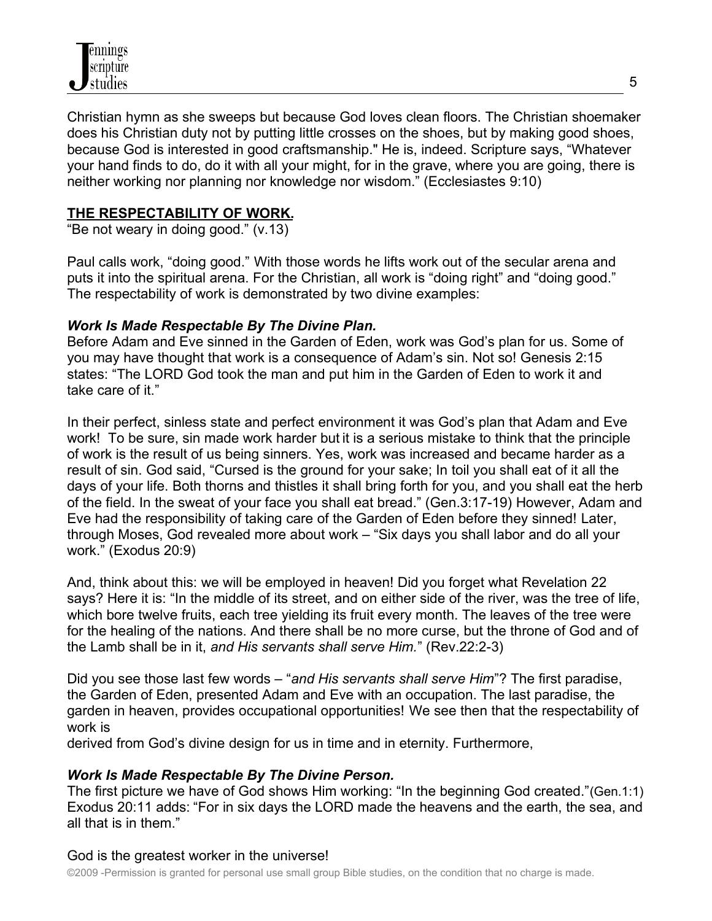Christian hymn as she sweeps but because God loves clean floors. The Christian shoemaker does his Christian duty not by putting little crosses on the shoes, but by making good shoes, because God is interested in good craftsmanship." He is, indeed. Scripture says, "Whatever your hand finds to do, do it with all your might, for in the grave, where you are going, there is neither working nor planning nor knowledge nor wisdom." (Ecclesiastes 9:10)

## **THE RESPECTABILITY OF WORK.**

"Be not weary in doing good." (v.13)

Paul calls work, "doing good." With those words he lifts work out of the secular arena and puts it into the spiritual arena. For the Christian, all work is "doing right" and "doing good." The respectability of work is demonstrated by two divine examples:

## *Work Is Made Respectable By The Divine Plan.*

Before Adam and Eve sinned in the Garden of Eden, work was God's plan for us. Some of you may have thought that work is a consequence of Adam's sin. Not so! Genesis 2:15 states: "The LORD God took the man and put him in the Garden of Eden to work it and take care of it."

In their perfect, sinless state and perfect environment it was God's plan that Adam and Eve work! To be sure, sin made work harder but it is a serious mistake to think that the principle of work is the result of us being sinners. Yes, work was increased and became harder as a result of sin. God said, "Cursed is the ground for your sake; In toil you shall eat of it all the days of your life. Both thorns and thistles it shall bring forth for you, and you shall eat the herb of the field. In the sweat of your face you shall eat bread." (Gen.3:17-19) However, Adam and Eve had the responsibility of taking care of the Garden of Eden before they sinned! Later, through Moses, God revealed more about work – "Six days you shall labor and do all your work." (Exodus 20:9)

And, think about this: we will be employed in heaven! Did you forget what Revelation 22 says? Here it is: "In the middle of its street, and on either side of the river, was the tree of life, which bore twelve fruits, each tree yielding its fruit every month. The leaves of the tree were for the healing of the nations. And there shall be no more curse, but the throne of God and of the Lamb shall be in it, *and His servants shall serve Him.*" (Rev.22:2-3)

Did you see those last few words – "*and His servants shall serve Him*"? The first paradise, the Garden of Eden, presented Adam and Eve with an occupation. The last paradise, the garden in heaven, provides occupational opportunities! We see then that the respectability of work is

derived from God's divine design for us in time and in eternity. Furthermore,

## *Work Is Made Respectable By The Divine Person.*

The first picture we have of God shows Him working: "In the beginning God created."(Gen.1:1) Exodus 20:11 adds: "For in six days the LORD made the heavens and the earth, the sea, and all that is in them."

## God is the greatest worker in the universe!